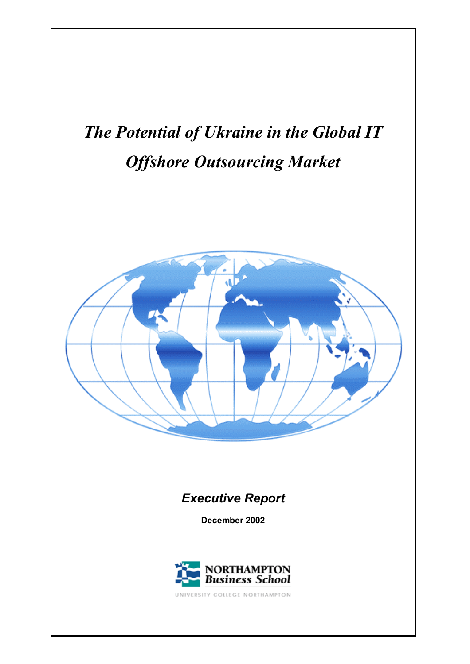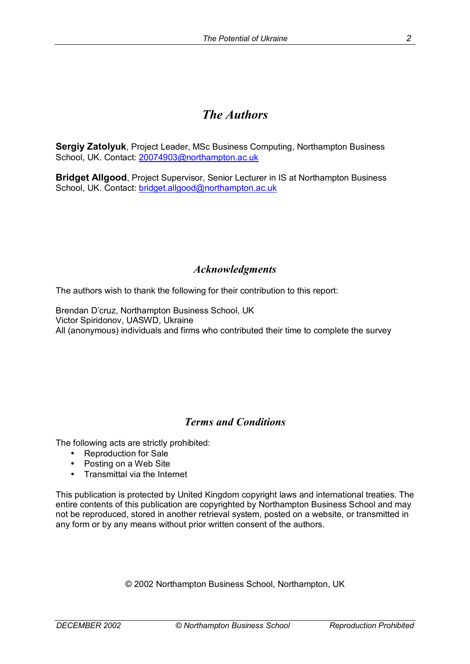# *The Authors*

**Sergiy Zatolyuk**, Project Leader, MSc Business Computing, Northampton Business School, UK. Contact: 20074903@northampton.ac.uk

**Bridget Allgood**, Project Supervisor, Senior Lecturer in IS at Northampton Business School, UK. Contact: bridget.allgood@northampton.ac.uk

## *Acknowledgments*

The authors wish to thank the following for their contribution to this report:

Brendan D'cruz, Northampton Business School, UK Victor Spiridonov, UASWD, Ukraine All (anonymous) individuals and firms who contributed their time to complete the survey

## *Terms and Conditions*

The following acts are strictly prohibited:

- Reproduction for Sale
- Posting on a Web Site
- Transmittal via the Internet

This publication is protected by United Kingdom copyright laws and international treaties. The entire contents of this publication are copyrighted by Northampton Business School and may not be reproduced, stored in another retrieval system, posted on a website, or transmitted in any form or by any means without prior written consent of the authors.

© 2002 Northampton Business School, Northampton, UK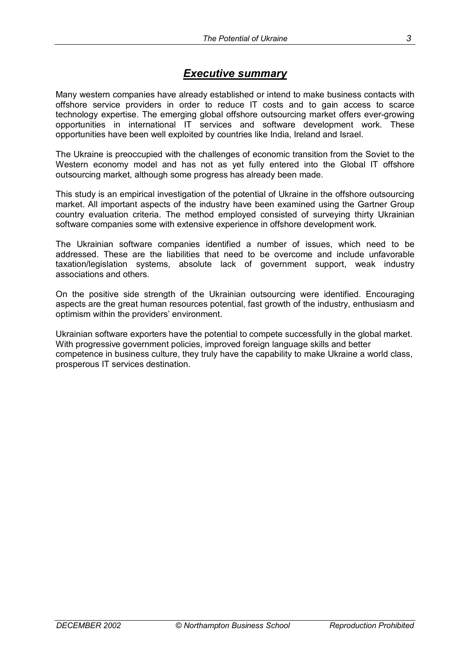## *Executive summary*

Many western companies have already established or intend to make business contacts with offshore service providers in order to reduce IT costs and to gain access to scarce technology expertise. The emerging global offshore outsourcing market offers ever-growing opportunities in international IT services and software development work. These opportunities have been well exploited by countries like India, Ireland and Israel.

The Ukraine is preoccupied with the challenges of economic transition from the Soviet to the Western economy model and has not as yet fully entered into the Global IT offshore outsourcing market, although some progress has already been made.

This study is an empirical investigation of the potential of Ukraine in the offshore outsourcing market. All important aspects of the industry have been examined using the Gartner Group country evaluation criteria. The method employed consisted of surveying thirty Ukrainian software companies some with extensive experience in offshore development work.

The Ukrainian software companies identified a number of issues, which need to be addressed. These are the liabilities that need to be overcome and include unfavorable taxation/legislation systems, absolute lack of government support, weak industry associations and others.

On the positive side strength of the Ukrainian outsourcing were identified. Encouraging aspects are the great human resources potential, fast growth of the industry, enthusiasm and optimism within the providers' environment.

Ukrainian software exporters have the potential to compete successfully in the global market. With progressive government policies, improved foreign language skills and better competence in business culture, they truly have the capability to make Ukraine a world class, prosperous IT services destination.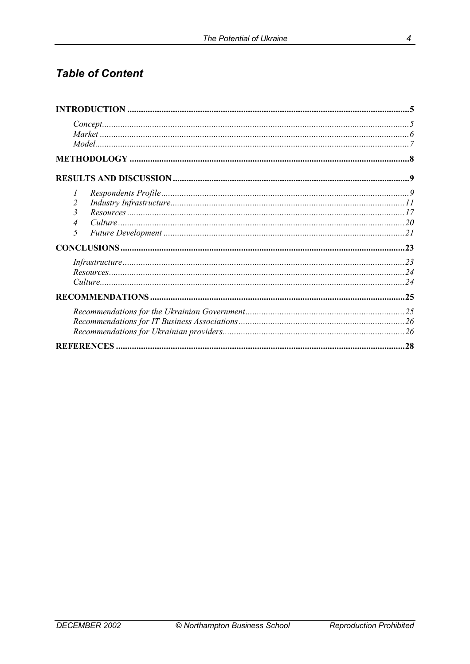# **Table of Content**

| $Concept  \dots 5$    |     |
|-----------------------|-----|
|                       |     |
| I<br>2<br>3<br>4<br>5 |     |
|                       |     |
|                       |     |
|                       |     |
|                       |     |
|                       | .28 |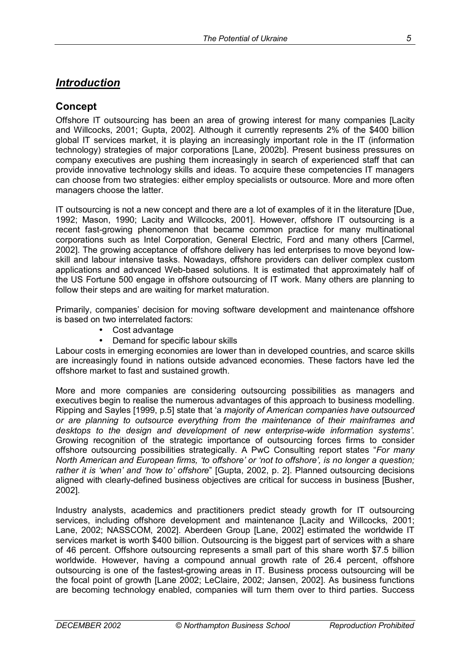## *Introduction*

### **Concept**

Offshore IT outsourcing has been an area of growing interest for many companies [Lacity and Willcocks, 2001; Gupta, 2002]. Although it currently represents 2% of the \$400 billion global IT services market, it is playing an increasingly important role in the IT (information technology) strategies of major corporations [Lane, 2002b]. Present business pressures on company executives are pushing them increasingly in search of experienced staff that can provide innovative technology skills and ideas. To acquire these competencies IT managers can choose from two strategies: either employ specialists or outsource. More and more often managers choose the latter.

IT outsourcing is not a new concept and there are a lot of examples of it in the literature [Due, 1992; Mason, 1990; Lacity and Willcocks, 2001]. However, offshore IT outsourcing is a recent fast-growing phenomenon that became common practice for many multinational corporations such as Intel Corporation, General Electric, Ford and many others [Carmel, 2002]. The growing acceptance of offshore delivery has led enterprises to move beyond lowskill and labour intensive tasks. Nowadays, offshore providers can deliver complex custom applications and advanced Web-based solutions. It is estimated that approximately half of the US Fortune 500 engage in offshore outsourcing of IT work. Many others are planning to follow their steps and are waiting for market maturation.

Primarily, companiesí decision for moving software development and maintenance offshore is based on two interrelated factors:

- Cost advantage
- Demand for specific labour skills

Labour costs in emerging economies are lower than in developed countries, and scarce skills are increasingly found in nations outside advanced economies. These factors have led the offshore market to fast and sustained growth.

More and more companies are considering outsourcing possibilities as managers and executives begin to realise the numerous advantages of this approach to business modelling. Ripping and Sayles [1999, p.5] state that ëa *majority of American companies have outsourced or are planning to outsource everything from the maintenance of their mainframes and desktops to the design and development of new enterprise-wide information systemsí*. Growing recognition of the strategic importance of outsourcing forces firms to consider offshore outsourcing possibilities strategically. A PwC Consulting report states "For many *North American and European firms, 'to offshore' or 'not to offshore', is no longer a question; rather it is ëwhení and ëhow toí offshore*î [Gupta, 2002, p. 2]. Planned outsourcing decisions aligned with clearly-defined business objectives are critical for success in business [Busher, 2002].

Industry analysts, academics and practitioners predict steady growth for IT outsourcing services, including offshore development and maintenance [Lacity and Willcocks, 2001; Lane, 2002; NASSCOM, 2002]. Aberdeen Group [Lane, 2002] estimated the worldwide IT services market is worth \$400 billion. Outsourcing is the biggest part of services with a share of 46 percent. Offshore outsourcing represents a small part of this share worth \$7.5 billion worldwide. However, having a compound annual growth rate of 26.4 percent, offshore outsourcing is one of the fastest-growing areas in IT. Business process outsourcing will be the focal point of growth [Lane 2002; LeClaire, 2002; Jansen, 2002]. As business functions are becoming technology enabled, companies will turn them over to third parties. Success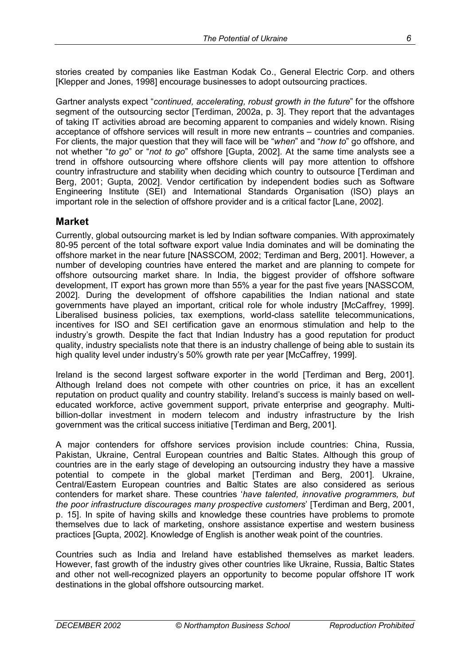Gartner analysts expect "*continued, accelerating, robust growth in the future*" for the offshore segment of the outsourcing sector [Terdiman, 2002a, p. 3]. They report that the advantages of taking IT activities abroad are becoming apparent to companies and widely known. Rising acceptance of offshore services will result in more new entrants – countries and companies. For clients, the major question that they will face will be "when" and "how to" go offshore, and not whether ì*to go*î or ì*not to go*î offshore [Gupta, 2002]. At the same time analysts see a trend in offshore outsourcing where offshore clients will pay more attention to offshore country infrastructure and stability when deciding which country to outsource [Terdiman and Berg, 2001; Gupta, 2002]. Vendor certification by independent bodies such as Software Engineering Institute (SEI) and International Standards Organisation (ISO) plays an important role in the selection of offshore provider and is a critical factor [Lane, 2002].

### **Market**

Currently, global outsourcing market is led by Indian software companies. With approximately 80-95 percent of the total software export value India dominates and will be dominating the offshore market in the near future [NASSCOM, 2002; Terdiman and Berg, 2001]. However, a number of developing countries have entered the market and are planning to compete for offshore outsourcing market share. In India, the biggest provider of offshore software development, IT export has grown more than 55% a year for the past five years [NASSCOM, 2002]. During the development of offshore capabilities the Indian national and state governments have played an important, critical role for whole industry [McCaffrey, 1999]. Liberalised business policies, tax exemptions, world-class satellite telecommunications, incentives for ISO and SEI certification gave an enormous stimulation and help to the industryís growth. Despite the fact that Indian Industry has a good reputation for product quality, industry specialists note that there is an industry challenge of being able to sustain its high quality level under industryís 50% growth rate per year [McCaffrey, 1999].

Ireland is the second largest software exporter in the world [Terdiman and Berg, 2001]. Although Ireland does not compete with other countries on price, it has an excellent reputation on product quality and country stability. Ireland's success is mainly based on welleducated workforce, active government support, private enterprise and geography. Multibillion-dollar investment in modern telecom and industry infrastructure by the Irish government was the critical success initiative [Terdiman and Berg, 2001].

A major contenders for offshore services provision include countries: China, Russia, Pakistan, Ukraine, Central European countries and Baltic States. Although this group of countries are in the early stage of developing an outsourcing industry they have a massive potential to compete in the global market [Terdiman and Berg, 2001]. Ukraine, Central/Eastern European countries and Baltic States are also considered as serious contenders for market share. These countries ë*have talented, innovative programmers, but the poor infrastructure discourages many prospective customers*í [Terdiman and Berg, 2001, p. 15]. In spite of having skills and knowledge these countries have problems to promote themselves due to lack of marketing, onshore assistance expertise and western business practices [Gupta, 2002]. Knowledge of English is another weak point of the countries.

Countries such as India and Ireland have established themselves as market leaders. However, fast growth of the industry gives other countries like Ukraine, Russia, Baltic States and other not well-recognized players an opportunity to become popular offshore IT work destinations in the global offshore outsourcing market.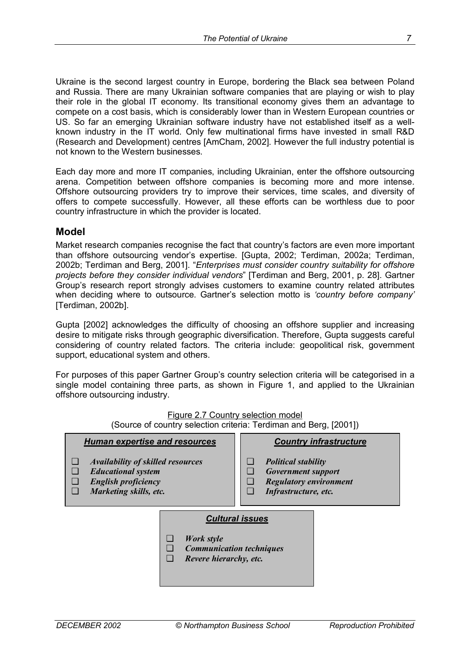Ukraine is the second largest country in Europe, bordering the Black sea between Poland and Russia. There are many Ukrainian software companies that are playing or wish to play their role in the global IT economy. Its transitional economy gives them an advantage to compete on a cost basis, which is considerably lower than in Western European countries or US. So far an emerging Ukrainian software industry have not established itself as a wellknown industry in the IT world. Only few multinational firms have invested in small R&D (Research and Development) centres [AmCham, 2002]. However the full industry potential is not known to the Western businesses.

Each day more and more IT companies, including Ukrainian, enter the offshore outsourcing arena. Competition between offshore companies is becoming more and more intense. Offshore outsourcing providers try to improve their services, time scales, and diversity of offers to compete successfully. However, all these efforts can be worthless due to poor country infrastructure in which the provider is located.

#### **Model**

Market research companies recognise the fact that country's factors are even more important than offshore outsourcing vendorís expertise. [Gupta, 2002; Terdiman, 2002a; Terdiman, 2002b; Terdiman and Berg, 2001]. *"Enterprises must consider country suitability for offshore projects before they consider individual vendors*î [Terdiman and Berg, 2001, p. 28]. Gartner Groupís research report strongly advises customers to examine country related attributes when deciding where to outsource. Gartner's selection motto is *'country before company'* [Terdiman, 2002b].

Gupta [2002] acknowledges the difficulty of choosing an offshore supplier and increasing desire to mitigate risks through geographic diversification. Therefore, Gupta suggests careful considering of country related factors. The criteria include: geopolitical risk, government support, educational system and others.

For purposes of this paper Gartner Group's country selection criteria will be categorised in a single model containing three parts, as shown in Figure 1, and applied to the Ukrainian offshore outsourcing industry.

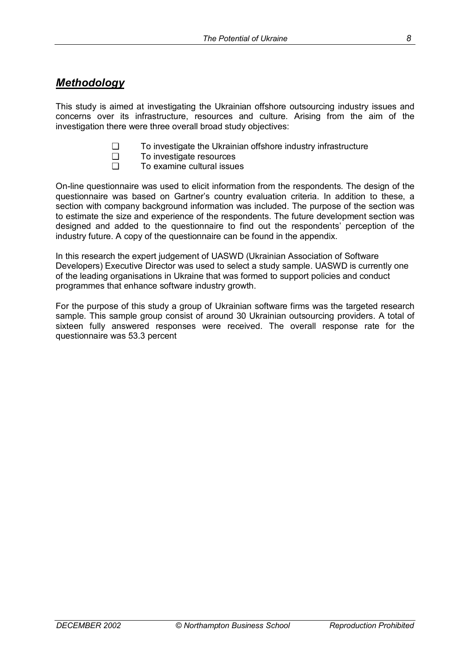## *Methodology*

This study is aimed at investigating the Ukrainian offshore outsourcing industry issues and concerns over its infrastructure, resources and culture. Arising from the aim of the investigation there were three overall broad study objectives:

- ❏ To investigate the Ukrainian offshore industry infrastructure
- ❏ To investigate resources
- ❏ To examine cultural issues

On-line questionnaire was used to elicit information from the respondents. The design of the questionnaire was based on Gartnerís country evaluation criteria. In addition to these, a section with company background information was included. The purpose of the section was to estimate the size and experience of the respondents. The future development section was designed and added to the questionnaire to find out the respondents' perception of the industry future. A copy of the questionnaire can be found in the appendix.

In this research the expert judgement of UASWD (Ukrainian Association of Software Developers) Executive Director was used to select a study sample. UASWD is currently one of the leading organisations in Ukraine that was formed to support policies and conduct programmes that enhance software industry growth.

For the purpose of this study a group of Ukrainian software firms was the targeted research sample. This sample group consist of around 30 Ukrainian outsourcing providers. A total of sixteen fully answered responses were received. The overall response rate for the questionnaire was 53.3 percent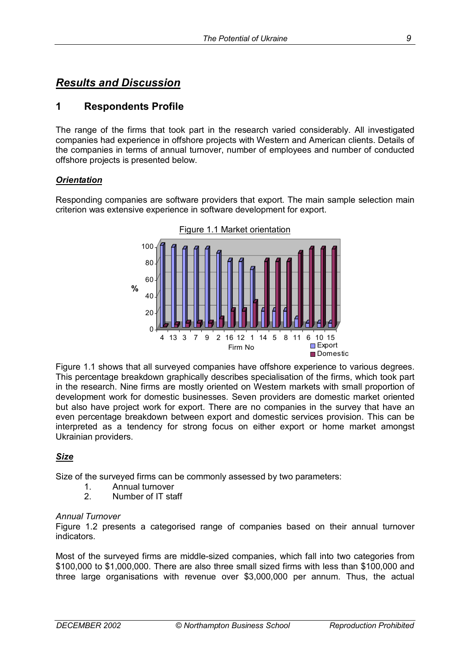## *Results and Discussion*

### **1 Respondents Profile**

The range of the firms that took part in the research varied considerably. All investigated companies had experience in offshore projects with Western and American clients. Details of the companies in terms of annual turnover, number of employees and number of conducted offshore projects is presented below.

#### *Orientation*

Responding companies are software providers that export. The main sample selection main criterion was extensive experience in software development for export.



Figure 1.1 shows that all surveyed companies have offshore experience to various degrees. This percentage breakdown graphically describes specialisation of the firms, which took part in the research. Nine firms are mostly oriented on Western markets with small proportion of development work for domestic businesses. Seven providers are domestic market oriented but also have project work for export. There are no companies in the survey that have an even percentage breakdown between export and domestic services provision. This can be interpreted as a tendency for strong focus on either export or home market amongst Ukrainian providers.

#### *Size*

Size of the surveyed firms can be commonly assessed by two parameters:

- 1. Annual turnover<br>2 Number of IT sta
- 2. Number of IT staff

#### *Annual Turnover*

Figure 1.2 presents a categorised range of companies based on their annual turnover indicators.

Most of the surveyed firms are middle-sized companies, which fall into two categories from \$100,000 to \$1,000,000. There are also three small sized firms with less than \$100,000 and three large organisations with revenue over \$3,000,000 per annum. Thus, the actual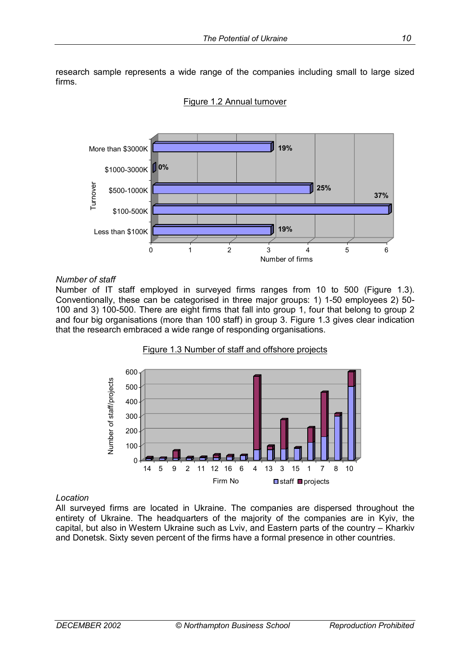research sample represents a wide range of the companies including small to large sized firms.



#### Figure 1.2 Annual turnover

#### *Number of staff*

Number of IT staff employed in surveyed firms ranges from 10 to 500 (Figure 1.3). Conventionally, these can be categorised in three major groups: 1) 1-50 employees 2) 50- 100 and 3) 100-500. There are eight firms that fall into group 1, four that belong to group 2 and four big organisations (more than 100 staff) in group 3. Figure 1.3 gives clear indication that the research embraced a wide range of responding organisations.



Figure 1.3 Number of staff and offshore projects

#### *Location*

All surveyed firms are located in Ukraine. The companies are dispersed throughout the entirety of Ukraine. The headquarters of the majority of the companies are in Kyiv, the capital, but also in Western Ukraine such as Lviv, and Eastern parts of the country – Kharkiv and Donetsk. Sixty seven percent of the firms have a formal presence in other countries.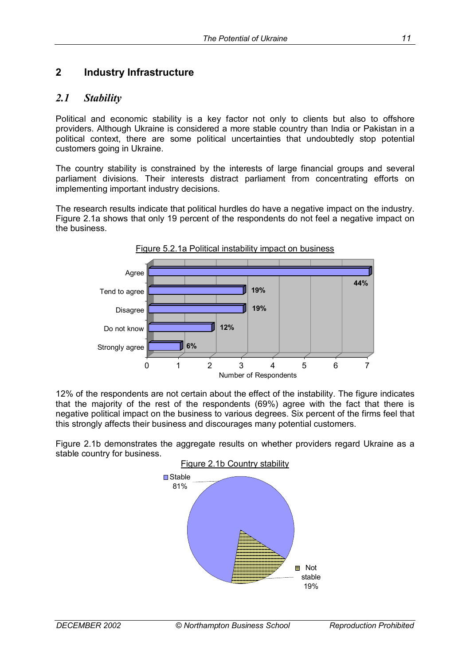## **2 Industry Infrastructure**

### *2.1 Stability*

Political and economic stability is a key factor not only to clients but also to offshore providers. Although Ukraine is considered a more stable country than India or Pakistan in a political context, there are some political uncertainties that undoubtedly stop potential customers going in Ukraine.

The country stability is constrained by the interests of large financial groups and several parliament divisions. Their interests distract parliament from concentrating efforts on implementing important industry decisions.

The research results indicate that political hurdles do have a negative impact on the industry. Figure 2.1a shows that only 19 percent of the respondents do not feel a negative impact on the business.



12% of the respondents are not certain about the effect of the instability. The figure indicates that the majority of the rest of the respondents (69%) agree with the fact that there is negative political impact on the business to various degrees. Six percent of the firms feel that this strongly affects their business and discourages many potential customers.

Figure 2.1b demonstrates the aggregate results on whether providers regard Ukraine as a stable country for business.

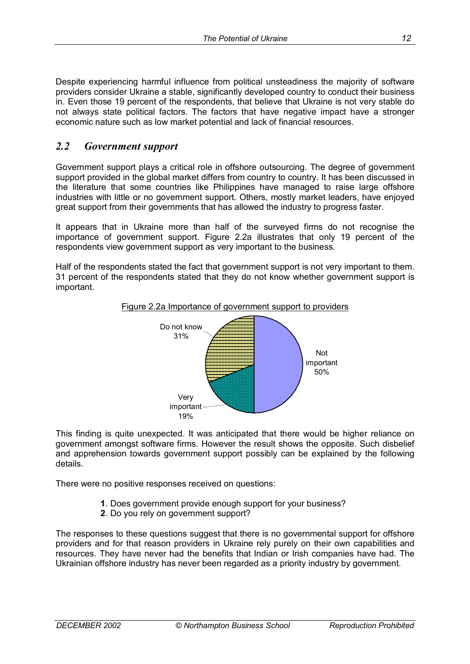Despite experiencing harmful influence from political unsteadiness the majority of software providers consider Ukraine a stable, significantly developed country to conduct their business in. Even those 19 percent of the respondents, that believe that Ukraine is not very stable do not always state political factors. The factors that have negative impact have a stronger economic nature such as low market potential and lack of financial resources.

### *2.2 Government support*

Government support plays a critical role in offshore outsourcing. The degree of government support provided in the global market differs from country to country. It has been discussed in the literature that some countries like Philippines have managed to raise large offshore industries with little or no government support. Others, mostly market leaders, have enjoyed great support from their governments that has allowed the industry to progress faster.

It appears that in Ukraine more than half of the surveyed firms do not recognise the importance of government support. Figure 2.2a illustrates that only 19 percent of the respondents view government support as very important to the business.

Half of the respondents stated the fact that government support is not very important to them. 31 percent of the respondents stated that they do not know whether government support is important.



Figure 2.2a Importance of government support to providers

This finding is quite unexpected. It was anticipated that there would be higher reliance on government amongst software firms. However the result shows the opposite. Such disbelief and apprehension towards government support possibly can be explained by the following details.

There were no positive responses received on questions:

- **1**. Does government provide enough support for your business?
- **2**. Do you rely on government support?

The responses to these questions suggest that there is no governmental support for offshore providers and for that reason providers in Ukraine rely purely on their own capabilities and resources. They have never had the benefits that Indian or Irish companies have had. The Ukrainian offshore industry has never been regarded as a priority industry by government.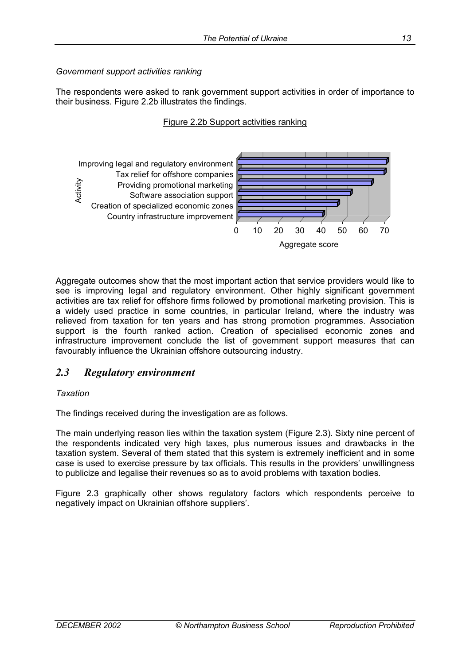#### *Government support activities ranking*

The respondents were asked to rank government support activities in order of importance to their business. Figure 2.2b illustrates the findings.

#### Figure 2.2b Support activities ranking



Aggregate outcomes show that the most important action that service providers would like to see is improving legal and regulatory environment. Other highly significant government activities are tax relief for offshore firms followed by promotional marketing provision. This is a widely used practice in some countries, in particular Ireland, where the industry was relieved from taxation for ten years and has strong promotion programmes. Association support is the fourth ranked action. Creation of specialised economic zones and infrastructure improvement conclude the list of government support measures that can favourably influence the Ukrainian offshore outsourcing industry.

### *2.3 Regulatory environment*

#### *Taxation*

The findings received during the investigation are as follows.

The main underlying reason lies within the taxation system (Figure 2.3). Sixty nine percent of the respondents indicated very high taxes, plus numerous issues and drawbacks in the taxation system. Several of them stated that this system is extremely inefficient and in some case is used to exercise pressure by tax officials. This results in the providers' unwillingness to publicize and legalise their revenues so as to avoid problems with taxation bodies.

Figure 2.3 graphically other shows regulatory factors which respondents perceive to negatively impact on Ukrainian offshore suppliers'.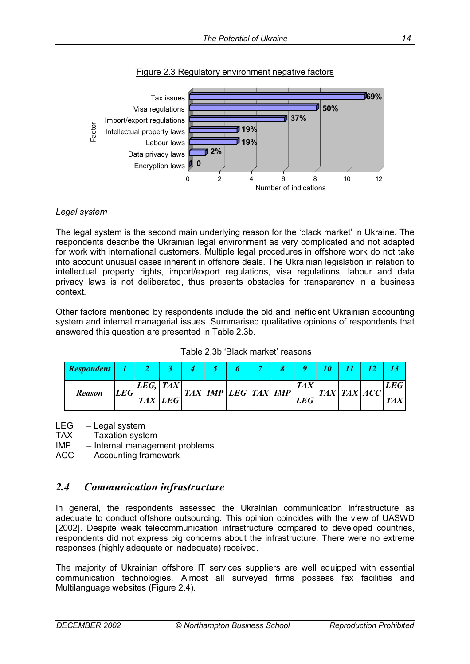



#### *Legal system*

The legal system is the second main underlying reason for the 'black market' in Ukraine. The respondents describe the Ukrainian legal environment as very complicated and not adapted for work with international customers. Multiple legal procedures in offshore work do not take into account unusual cases inherent in offshore deals. The Ukrainian legislation in relation to intellectual property rights, import/export regulations, visa regulations, labour and data privacy laws is not deliberated, thus presents obstacles for transparency in a business context.

Other factors mentioned by respondents include the old and inefficient Ukrainian accounting system and internal managerial issues. Summarised qualitative opinions of respondents that answered this question are presented in Table 2.3b.

| Table 2.3b 'Black market' reasons |  |
|-----------------------------------|--|
|-----------------------------------|--|

| <b>Respondent</b> |  |                                   |  |                                                                        |  |            |            |  |             |     |
|-------------------|--|-----------------------------------|--|------------------------------------------------------------------------|--|------------|------------|--|-------------|-----|
| <b>Reason</b>     |  | LEG,   TAX <br>LEG<br>$TAX$ $LEG$ |  | $\left  TAX \right $ IMP $\left  LEG \right $ TAX $\left  IMP \right $ |  |            | <b>TAX</b> |  | TAX TAX ACC | LEG |
|                   |  |                                   |  |                                                                        |  | <b>LEG</b> |            |  | <b>TAX</b>  |     |

 $LEG - Legal system$ 

 $TAX - Taxation system$ 

- $IMP$   $-$  Internal management problems
- $ACC According framework$

### *2.4 Communication infrastructure*

In general, the respondents assessed the Ukrainian communication infrastructure as adequate to conduct offshore outsourcing. This opinion coincides with the view of UASWD [2002]. Despite weak telecommunication infrastructure compared to developed countries, respondents did not express big concerns about the infrastructure. There were no extreme responses (highly adequate or inadequate) received.

The majority of Ukrainian offshore IT services suppliers are well equipped with essential communication technologies. Almost all surveyed firms possess fax facilities and Multilanguage websites (Figure 2.4).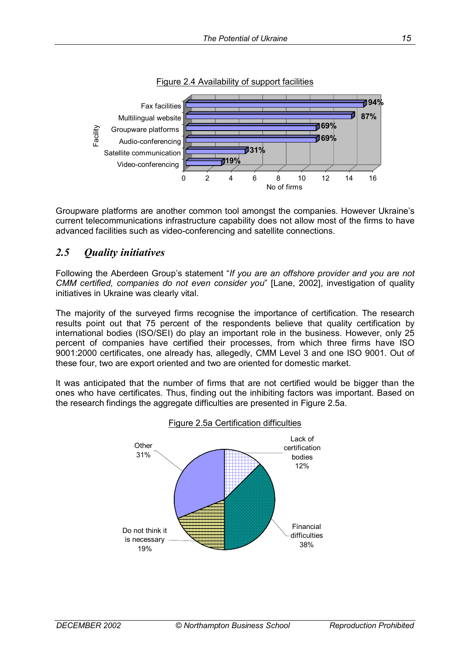

Figure 2.4 Availability of support facilities

Groupware platforms are another common tool amongst the companies. However Ukraine's current telecommunications infrastructure capability does not allow most of the firms to have advanced facilities such as video-conferencing and satellite connections.

## *2.5 Quality initiatives*

Following the Aberdeen Group's statement "If you are an offshore provider and you are not *CMM certified, companies do not even consider you*î [Lane, 2002], investigation of quality initiatives in Ukraine was clearly vital.

The majority of the surveyed firms recognise the importance of certification. The research results point out that 75 percent of the respondents believe that quality certification by international bodies (ISO/SEI) do play an important role in the business. However, only 25 percent of companies have certified their processes, from which three firms have ISO 9001:2000 certificates, one already has, allegedly, CMM Level 3 and one ISO 9001. Out of these four, two are export oriented and two are oriented for domestic market.

It was anticipated that the number of firms that are not certified would be bigger than the ones who have certificates. Thus, finding out the inhibiting factors was important. Based on the research findings the aggregate difficulties are presented in Figure 2.5a.



#### Figure 2.5a Certification difficulties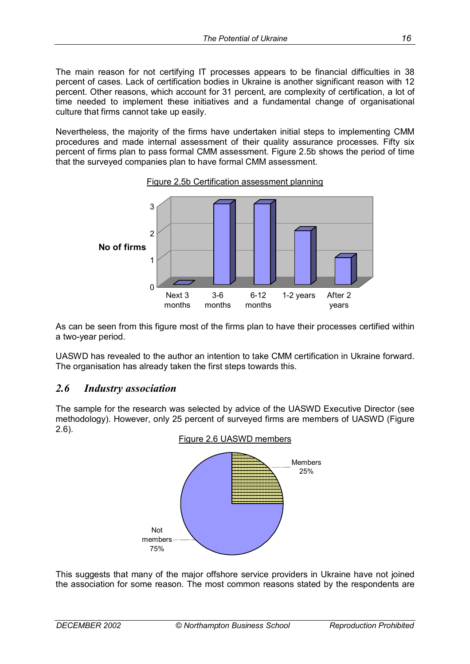The main reason for not certifying IT processes appears to be financial difficulties in 38 percent of cases. Lack of certification bodies in Ukraine is another significant reason with 12 percent. Other reasons, which account for 31 percent, are complexity of certification, a lot of time needed to implement these initiatives and a fundamental change of organisational culture that firms cannot take up easily.

Nevertheless, the majority of the firms have undertaken initial steps to implementing CMM procedures and made internal assessment of their quality assurance processes. Fifty six percent of firms plan to pass formal CMM assessment. Figure 2.5b shows the period of time that the surveyed companies plan to have formal CMM assessment.



Figure 2.5b Certification assessment planning

As can be seen from this figure most of the firms plan to have their processes certified within a two-year period.

UASWD has revealed to the author an intention to take CMM certification in Ukraine forward. The organisation has already taken the first steps towards this.

#### *2.6 Industry association*

The sample for the research was selected by advice of the UASWD Executive Director (see methodology). However, only 25 percent of surveyed firms are members of UASWD (Figure 2.6).



This suggests that many of the major offshore service providers in Ukraine have not joined the association for some reason. The most common reasons stated by the respondents are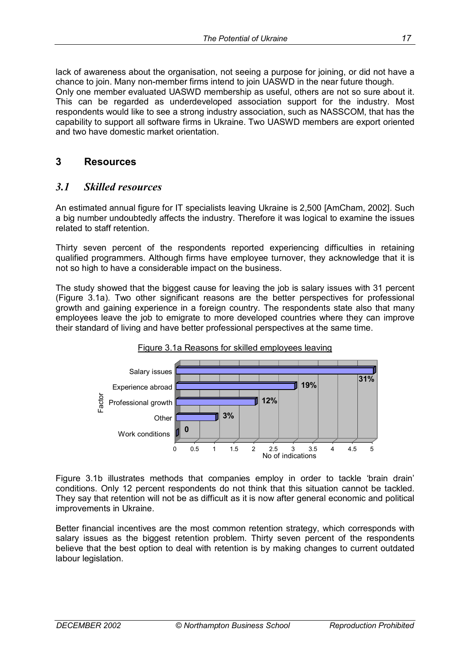lack of awareness about the organisation, not seeing a purpose for joining, or did not have a chance to join. Many non-member firms intend to join UASWD in the near future though. Only one member evaluated UASWD membership as useful, others are not so sure about it. This can be regarded as underdeveloped association support for the industry. Most respondents would like to see a strong industry association, such as NASSCOM, that has the capability to support all software firms in Ukraine. Two UASWD members are export oriented and two have domestic market orientation.

### **3 Resources**

### *3.1 Skilled resources*

An estimated annual figure for IT specialists leaving Ukraine is 2,500 [AmCham, 2002]. Such a big number undoubtedly affects the industry. Therefore it was logical to examine the issues related to staff retention.

Thirty seven percent of the respondents reported experiencing difficulties in retaining qualified programmers. Although firms have employee turnover, they acknowledge that it is not so high to have a considerable impact on the business.

The study showed that the biggest cause for leaving the job is salary issues with 31 percent (Figure 3.1a). Two other significant reasons are the better perspectives for professional growth and gaining experience in a foreign country. The respondents state also that many employees leave the job to emigrate to more developed countries where they can improve their standard of living and have better professional perspectives at the same time.





Figure 3.1b illustrates methods that companies employ in order to tackle 'brain drain' conditions. Only 12 percent respondents do not think that this situation cannot be tackled. They say that retention will not be as difficult as it is now after general economic and political improvements in Ukraine.

Better financial incentives are the most common retention strategy, which corresponds with salary issues as the biggest retention problem. Thirty seven percent of the respondents believe that the best option to deal with retention is by making changes to current outdated labour legislation.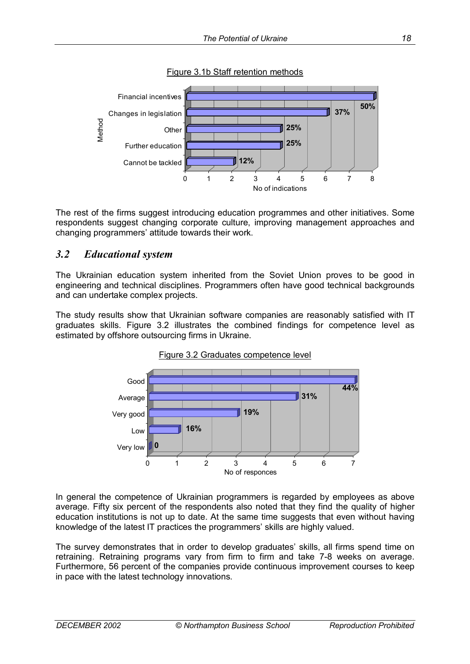

Figure 3.1b Staff retention methods

The rest of the firms suggest introducing education programmes and other initiatives. Some respondents suggest changing corporate culture, improving management approaches and changing programmers' attitude towards their work.

### *3.2 Educational system*

The Ukrainian education system inherited from the Soviet Union proves to be good in engineering and technical disciplines. Programmers often have good technical backgrounds and can undertake complex projects.

The study results show that Ukrainian software companies are reasonably satisfied with IT graduates skills. Figure 3.2 illustrates the combined findings for competence level as estimated by offshore outsourcing firms in Ukraine.





In general the competence of Ukrainian programmers is regarded by employees as above average. Fifty six percent of the respondents also noted that they find the quality of higher education institutions is not up to date. At the same time suggests that even without having knowledge of the latest IT practices the programmersí skills are highly valued.

The survey demonstrates that in order to develop graduates' skills, all firms spend time on retraining. Retraining programs vary from firm to firm and take 7-8 weeks on average. Furthermore, 56 percent of the companies provide continuous improvement courses to keep in pace with the latest technology innovations.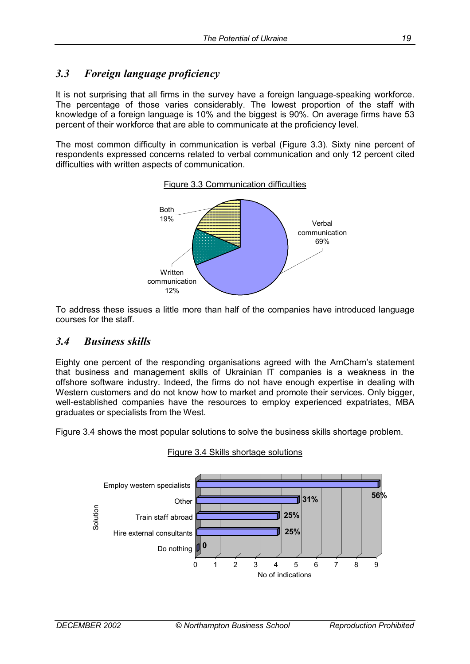## *3.3 Foreign language proficiency*

It is not surprising that all firms in the survey have a foreign language-speaking workforce. The percentage of those varies considerably. The lowest proportion of the staff with knowledge of a foreign language is 10% and the biggest is 90%. On average firms have 53 percent of their workforce that are able to communicate at the proficiency level.

The most common difficulty in communication is verbal (Figure 3.3). Sixty nine percent of respondents expressed concerns related to verbal communication and only 12 percent cited difficulties with written aspects of communication.



To address these issues a little more than half of the companies have introduced language courses for the staff.

### *3.4 Business skills*

Eighty one percent of the responding organisations agreed with the AmChamís statement that business and management skills of Ukrainian IT companies is a weakness in the offshore software industry. Indeed, the firms do not have enough expertise in dealing with Western customers and do not know how to market and promote their services. Only bigger, well-established companies have the resources to employ experienced expatriates, MBA graduates or specialists from the West.

Figure 3.4 shows the most popular solutions to solve the business skills shortage problem.



Figure 3.4 Skills shortage solutions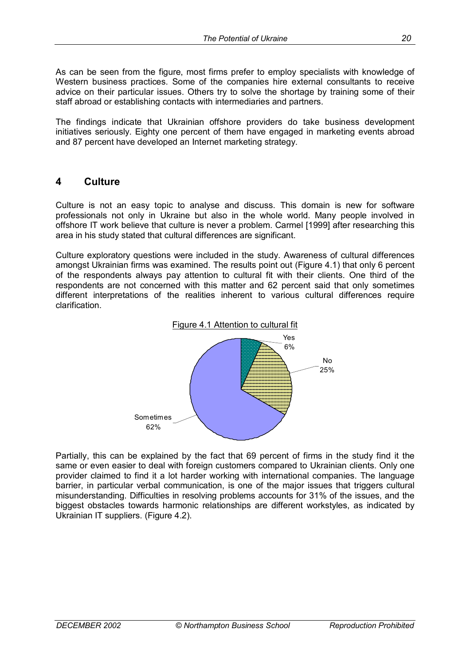As can be seen from the figure, most firms prefer to employ specialists with knowledge of Western business practices. Some of the companies hire external consultants to receive advice on their particular issues. Others try to solve the shortage by training some of their staff abroad or establishing contacts with intermediaries and partners.

The findings indicate that Ukrainian offshore providers do take business development initiatives seriously. Eighty one percent of them have engaged in marketing events abroad and 87 percent have developed an Internet marketing strategy.

### **4 Culture**

Culture is not an easy topic to analyse and discuss. This domain is new for software professionals not only in Ukraine but also in the whole world. Many people involved in offshore IT work believe that culture is never a problem. Carmel [1999] after researching this area in his study stated that cultural differences are significant.

Culture exploratory questions were included in the study. Awareness of cultural differences amongst Ukrainian firms was examined. The results point out (Figure 4.1) that only 6 percent of the respondents always pay attention to cultural fit with their clients. One third of the respondents are not concerned with this matter and 62 percent said that only sometimes different interpretations of the realities inherent to various cultural differences require clarification.



Partially, this can be explained by the fact that 69 percent of firms in the study find it the same or even easier to deal with foreign customers compared to Ukrainian clients. Only one provider claimed to find it a lot harder working with international companies. The language barrier, in particular verbal communication, is one of the major issues that triggers cultural misunderstanding. Difficulties in resolving problems accounts for 31% of the issues, and the biggest obstacles towards harmonic relationships are different workstyles, as indicated by Ukrainian IT suppliers. (Figure 4.2).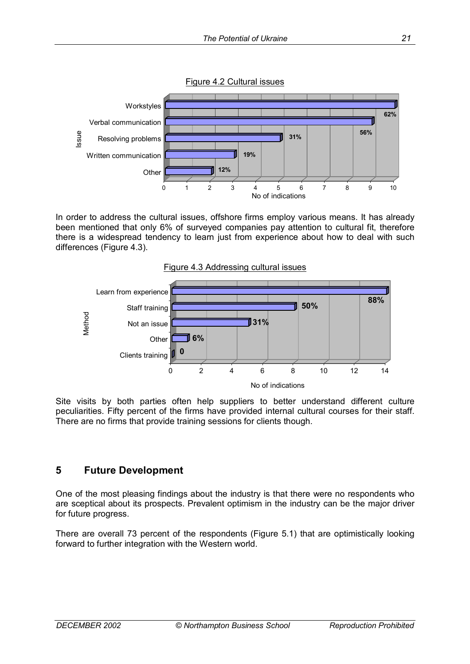

In order to address the cultural issues, offshore firms employ various means. It has already been mentioned that only 6% of surveyed companies pay attention to cultural fit, therefore there is a widespread tendency to learn just from experience about how to deal with such differences (Figure 4.3).



Site visits by both parties often help suppliers to better understand different culture peculiarities. Fifty percent of the firms have provided internal cultural courses for their staff. There are no firms that provide training sessions for clients though.

### **5 Future Development**

One of the most pleasing findings about the industry is that there were no respondents who are sceptical about its prospects. Prevalent optimism in the industry can be the major driver for future progress.

There are overall 73 percent of the respondents (Figure 5.1) that are optimistically looking forward to further integration with the Western world.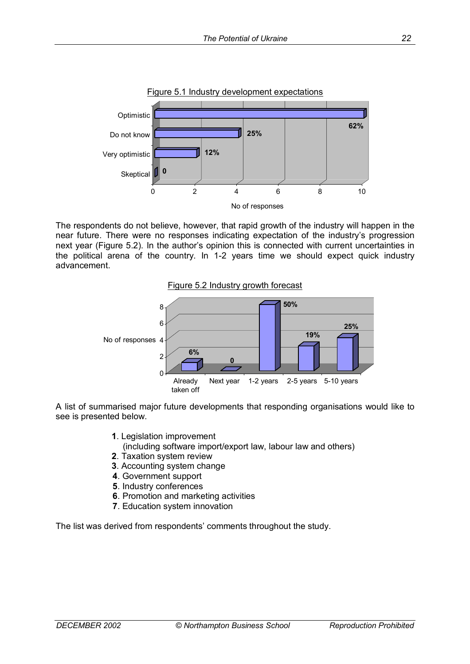

The respondents do not believe, however, that rapid growth of the industry will happen in the near future. There were no responses indicating expectation of the industry's progression next year (Figure 5.2). In the author's opinion this is connected with current uncertainties in the political arena of the country. In 1-2 years time we should expect quick industry advancement.





A list of summarised major future developments that responding organisations would like to see is presented below.

- **1**. Legislation improvement
	- (including software import/export law, labour law and others)
- **2**. Taxation system review
- **3**. Accounting system change
- **4**. Government support
- **5**. Industry conferences
- **6**. Promotion and marketing activities
- **7**. Education system innovation

The list was derived from respondents' comments throughout the study.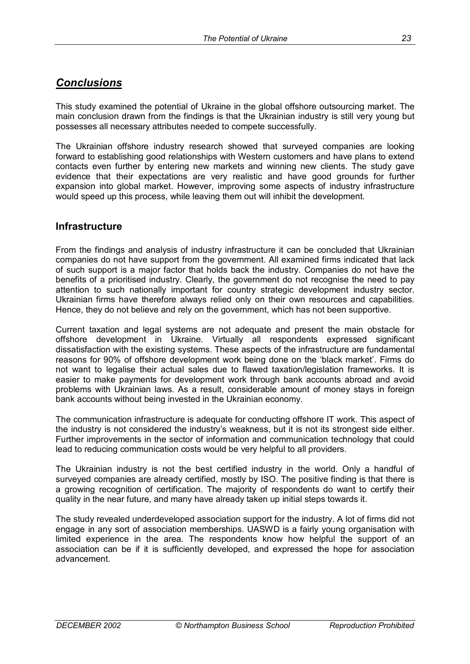## *Conclusions*

This study examined the potential of Ukraine in the global offshore outsourcing market. The main conclusion drawn from the findings is that the Ukrainian industry is still very young but possesses all necessary attributes needed to compete successfully.

The Ukrainian offshore industry research showed that surveyed companies are looking forward to establishing good relationships with Western customers and have plans to extend contacts even further by entering new markets and winning new clients. The study gave evidence that their expectations are very realistic and have good grounds for further expansion into global market. However, improving some aspects of industry infrastructure would speed up this process, while leaving them out will inhibit the development.

### **Infrastructure**

From the findings and analysis of industry infrastructure it can be concluded that Ukrainian companies do not have support from the government. All examined firms indicated that lack of such support is a major factor that holds back the industry. Companies do not have the benefits of a prioritised industry. Clearly, the government do not recognise the need to pay attention to such nationally important for country strategic development industry sector. Ukrainian firms have therefore always relied only on their own resources and capabilities. Hence, they do not believe and rely on the government, which has not been supportive.

Current taxation and legal systems are not adequate and present the main obstacle for offshore development in Ukraine. Virtually all respondents expressed significant dissatisfaction with the existing systems. These aspects of the infrastructure are fundamental reasons for 90% of offshore development work being done on the 'black market'. Firms do not want to legalise their actual sales due to flawed taxation/legislation frameworks. It is easier to make payments for development work through bank accounts abroad and avoid problems with Ukrainian laws. As a result, considerable amount of money stays in foreign bank accounts without being invested in the Ukrainian economy.

The communication infrastructure is adequate for conducting offshore IT work. This aspect of the industry is not considered the industryís weakness, but it is not its strongest side either. Further improvements in the sector of information and communication technology that could lead to reducing communication costs would be very helpful to all providers.

The Ukrainian industry is not the best certified industry in the world. Only a handful of surveyed companies are already certified, mostly by ISO. The positive finding is that there is a growing recognition of certification. The majority of respondents do want to certify their quality in the near future, and many have already taken up initial steps towards it.

The study revealed underdeveloped association support for the industry. A lot of firms did not engage in any sort of association memberships. UASWD is a fairly young organisation with limited experience in the area. The respondents know how helpful the support of an association can be if it is sufficiently developed, and expressed the hope for association advancement.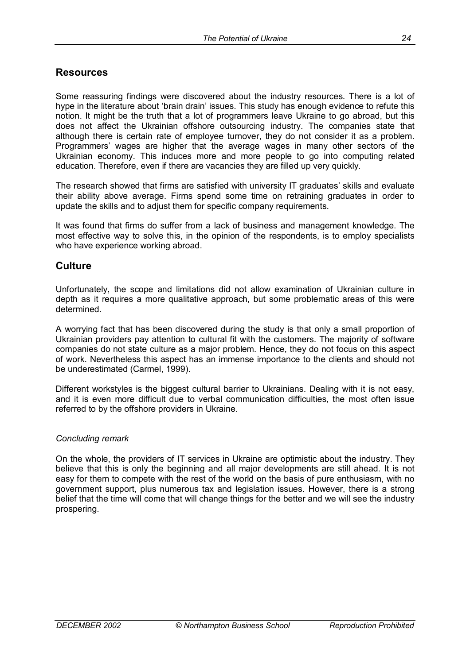### **Resources**

Some reassuring findings were discovered about the industry resources. There is a lot of hype in the literature about 'brain drain' issues. This study has enough evidence to refute this notion. It might be the truth that a lot of programmers leave Ukraine to go abroad, but this does not affect the Ukrainian offshore outsourcing industry. The companies state that although there is certain rate of employee turnover, they do not consider it as a problem. Programmersí wages are higher that the average wages in many other sectors of the Ukrainian economy. This induces more and more people to go into computing related education. Therefore, even if there are vacancies they are filled up very quickly.

The research showed that firms are satisfied with university IT graduates' skills and evaluate their ability above average. Firms spend some time on retraining graduates in order to update the skills and to adjust them for specific company requirements.

It was found that firms do suffer from a lack of business and management knowledge. The most effective way to solve this, in the opinion of the respondents, is to employ specialists who have experience working abroad.

#### **Culture**

Unfortunately, the scope and limitations did not allow examination of Ukrainian culture in depth as it requires a more qualitative approach, but some problematic areas of this were determined.

A worrying fact that has been discovered during the study is that only a small proportion of Ukrainian providers pay attention to cultural fit with the customers. The majority of software companies do not state culture as a major problem. Hence, they do not focus on this aspect of work. Nevertheless this aspect has an immense importance to the clients and should not be underestimated (Carmel, 1999).

Different workstyles is the biggest cultural barrier to Ukrainians. Dealing with it is not easy, and it is even more difficult due to verbal communication difficulties, the most often issue referred to by the offshore providers in Ukraine.

#### *Concluding remark*

On the whole, the providers of IT services in Ukraine are optimistic about the industry. They believe that this is only the beginning and all major developments are still ahead. It is not easy for them to compete with the rest of the world on the basis of pure enthusiasm, with no government support, plus numerous tax and legislation issues. However, there is a strong belief that the time will come that will change things for the better and we will see the industry prospering.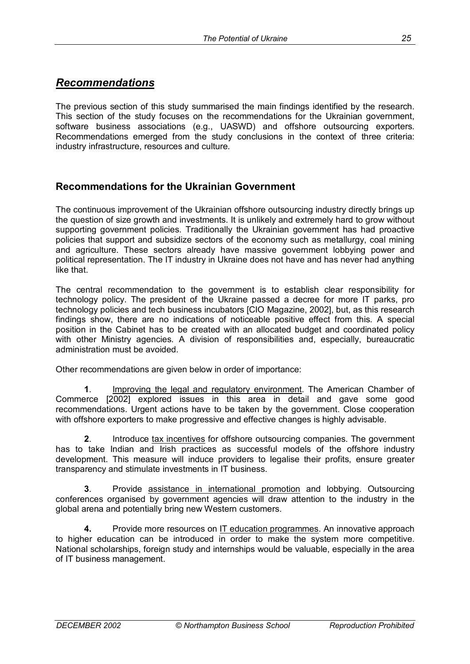## *Recommendations*

The previous section of this study summarised the main findings identified by the research. This section of the study focuses on the recommendations for the Ukrainian government, software business associations (e.g., UASWD) and offshore outsourcing exporters. Recommendations emerged from the study conclusions in the context of three criteria: industry infrastructure, resources and culture.

### **Recommendations for the Ukrainian Government**

The continuous improvement of the Ukrainian offshore outsourcing industry directly brings up the question of size growth and investments. It is unlikely and extremely hard to grow without supporting government policies. Traditionally the Ukrainian government has had proactive policies that support and subsidize sectors of the economy such as metallurgy, coal mining and agriculture. These sectors already have massive government lobbying power and political representation. The IT industry in Ukraine does not have and has never had anything like that.

The central recommendation to the government is to establish clear responsibility for technology policy. The president of the Ukraine passed a decree for more IT parks, pro technology policies and tech business incubators [CIO Magazine, 2002], but, as this research findings show, there are no indications of noticeable positive effect from this. A special position in the Cabinet has to be created with an allocated budget and coordinated policy with other Ministry agencies. A division of responsibilities and, especially, bureaucratic administration must be avoided.

Other recommendations are given below in order of importance:

**1**. Improving the legal and regulatory environment. The American Chamber of Commerce [2002] explored issues in this area in detail and gave some good recommendations. Urgent actions have to be taken by the government. Close cooperation with offshore exporters to make progressive and effective changes is highly advisable.

**2**. Introduce tax incentives for offshore outsourcing companies. The government has to take Indian and Irish practices as successful models of the offshore industry development. This measure will induce providers to legalise their profits, ensure greater transparency and stimulate investments in IT business.

**3**. Provide assistance in international promotion and lobbying. Outsourcing conferences organised by government agencies will draw attention to the industry in the global arena and potentially bring new Western customers.

**4.** Provide more resources on IT education programmes. An innovative approach to higher education can be introduced in order to make the system more competitive. National scholarships, foreign study and internships would be valuable, especially in the area of IT business management.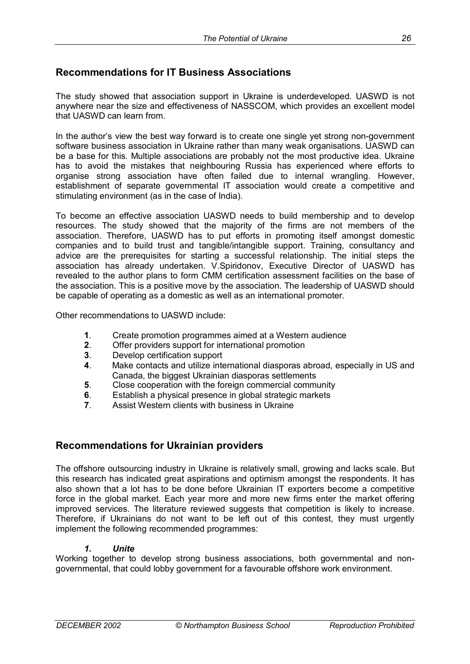## **Recommendations for IT Business Associations**

The study showed that association support in Ukraine is underdeveloped. UASWD is not anywhere near the size and effectiveness of NASSCOM, which provides an excellent model that UASWD can learn from.

In the author's view the best way forward is to create one single yet strong non-government software business association in Ukraine rather than many weak organisations. UASWD can be a base for this. Multiple associations are probably not the most productive idea. Ukraine has to avoid the mistakes that neighbouring Russia has experienced where efforts to organise strong association have often failed due to internal wrangling. However, establishment of separate governmental IT association would create a competitive and stimulating environment (as in the case of India).

To become an effective association UASWD needs to build membership and to develop resources. The study showed that the majority of the firms are not members of the association. Therefore, UASWD has to put efforts in promoting itself amongst domestic companies and to build trust and tangible/intangible support. Training, consultancy and advice are the prerequisites for starting a successful relationship. The initial steps the association has already undertaken. V.Spiridonov, Executive Director of UASWD has revealed to the author plans to form CMM certification assessment facilities on the base of the association. This is a positive move by the association. The leadership of UASWD should be capable of operating as a domestic as well as an international promoter.

Other recommendations to UASWD include:

- **1**. Create promotion programmes aimed at a Western audience
- **2**. Offer providers support for international promotion
- **3**. Develop certification support
- **4**. Make contacts and utilize international diasporas abroad, especially in US and Canada, the biggest Ukrainian diasporas settlements
- **5**. Close cooperation with the foreign commercial community
- **6**. Establish a physical presence in global strategic markets
- **7**. Assist Western clients with business in Ukraine

### **Recommendations for Ukrainian providers**

The offshore outsourcing industry in Ukraine is relatively small, growing and lacks scale. But this research has indicated great aspirations and optimism amongst the respondents. It has also shown that a lot has to be done before Ukrainian IT exporters become a competitive force in the global market. Each year more and more new firms enter the market offering improved services. The literature reviewed suggests that competition is likely to increase. Therefore, if Ukrainians do not want to be left out of this contest, they must urgently implement the following recommended programmes:

#### *1. Unite*

Working together to develop strong business associations, both governmental and nongovernmental, that could lobby government for a favourable offshore work environment.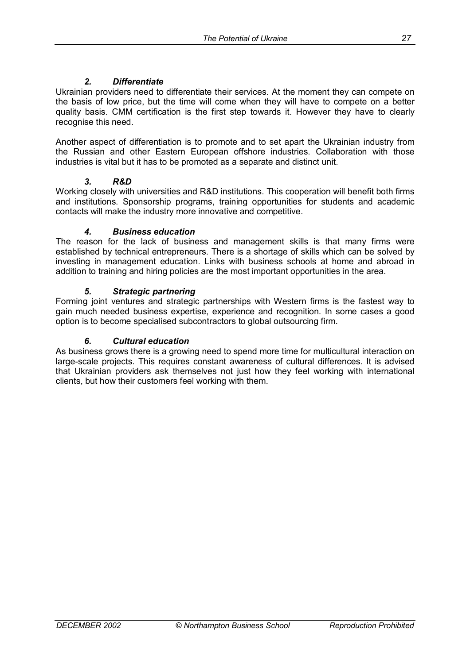### *2. Differentiate*

Ukrainian providers need to differentiate their services. At the moment they can compete on the basis of low price, but the time will come when they will have to compete on a better quality basis. CMM certification is the first step towards it. However they have to clearly recognise this need.

Another aspect of differentiation is to promote and to set apart the Ukrainian industry from the Russian and other Eastern European offshore industries. Collaboration with those industries is vital but it has to be promoted as a separate and distinct unit.

#### *3. R&D*

Working closely with universities and R&D institutions. This cooperation will benefit both firms and institutions. Sponsorship programs, training opportunities for students and academic contacts will make the industry more innovative and competitive.

#### *4. Business education*

The reason for the lack of business and management skills is that many firms were established by technical entrepreneurs. There is a shortage of skills which can be solved by investing in management education. Links with business schools at home and abroad in addition to training and hiring policies are the most important opportunities in the area.

#### *5. Strategic partnering*

Forming joint ventures and strategic partnerships with Western firms is the fastest way to gain much needed business expertise, experience and recognition. In some cases a good option is to become specialised subcontractors to global outsourcing firm.

#### *6. Cultural education*

As business grows there is a growing need to spend more time for multicultural interaction on large-scale projects. This requires constant awareness of cultural differences. It is advised that Ukrainian providers ask themselves not just how they feel working with international clients, but how their customers feel working with them.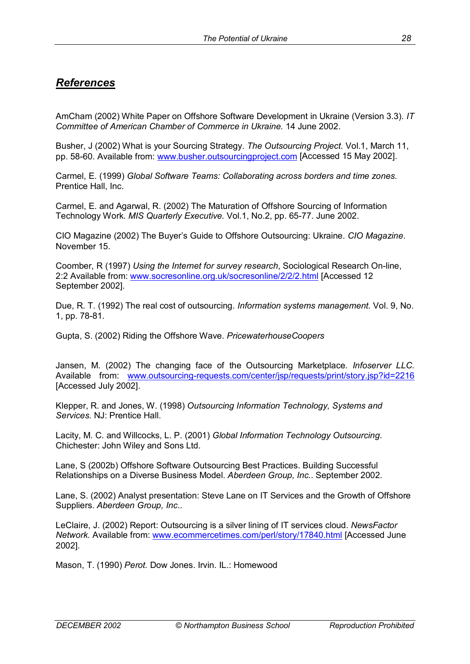## *References*

AmCham (2002) White Paper on Offshore Software Development in Ukraine (Version 3.3). *IT Committee of American Chamber of Commerce in Ukraine.* 14 June 2002.

Busher, J (2002) What is your Sourcing Strategy. *The Outsourcing Project.* Vol.1, March 11, pp. 58-60. Available from: www.busher.outsourcingproject.com [Accessed 15 May 2002].

Carmel, E. (1999) *Global Software Teams: Collaborating across borders and time zones.* Prentice Hall, Inc.

Carmel, E. and Agarwal, R. (2002) The Maturation of Offshore Sourcing of Information Technology Work. *MIS Quarterly Executive.* Vol.1, No.2, pp. 65-77. June 2002.

CIO Magazine (2002) The Buyerís Guide to Offshore Outsourcing: Ukraine. *CIO Magazine*. November 15.

Coomber, R (1997) *Using the Internet for survey research*, Sociological Research On-line, 2:2 Available from: www.socresonline.org.uk/socresonline/2/2/2.html [Accessed 12 September 2002].

Due, R. T. (1992) The real cost of outsourcing. *Information systems management.* Vol. 9, No. 1, pp. 78-81.

Gupta, S. (2002) Riding the Offshore Wave. *PricewaterhouseCoopers*

Jansen, M. (2002) The changing face of the Outsourcing Marketplace. *Infoserver LLC.*  Available from: www.outsourcing-requests.com/center/jsp/requests/print/story.jsp?id=2216 [Accessed July 2002].

Klepper, R. and Jones, W. (1998) *Outsourcing Information Technology, Systems and Services*. NJ: Prentice Hall.

Lacity, M. C. and Willcocks, L. P. (2001) *Global Information Technology Outsourcing*. Chichester: John Wiley and Sons Ltd.

Lane, S (2002b) Offshore Software Outsourcing Best Practices. Building Successful Relationships on a Diverse Business Model. *Aberdeen Group, Inc.*. September 2002.

Lane, S. (2002) Analyst presentation: Steve Lane on IT Services and the Growth of Offshore Suppliers. *Aberdeen Group, Inc*..

LeClaire, J. (2002) Report: Outsourcing is a silver lining of IT services cloud. *NewsFactor Network.* Available from: www.ecommercetimes.com/perl/story/17840.html [Accessed June 2002].

Mason, T. (1990) *Perot.* Dow Jones. Irvin. IL.: Homewood